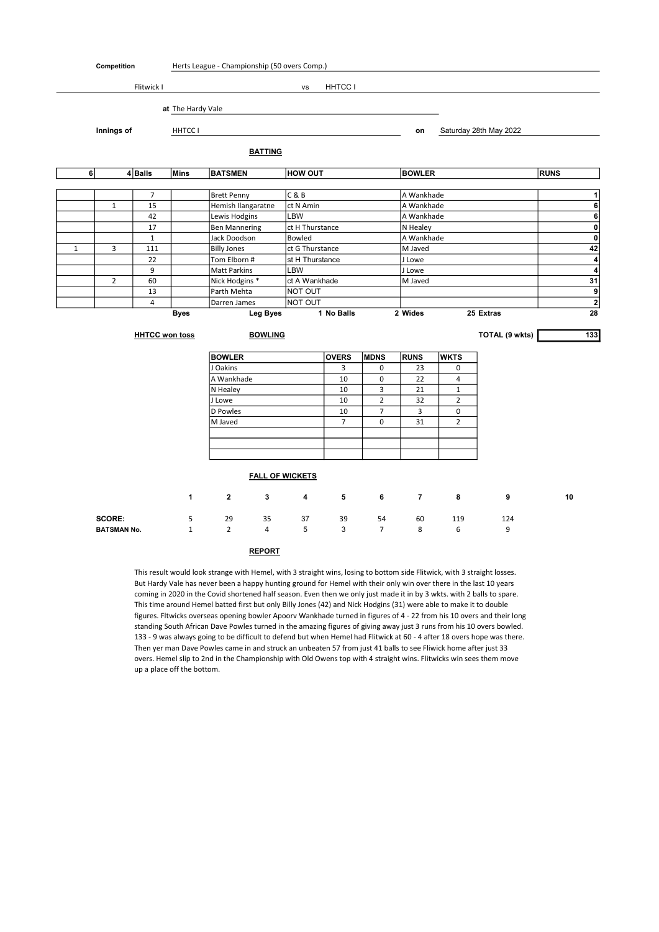| Competition  |                                          |                       |                           | Herts League - Championship (50 overs Comp.) |                |                        |                  |                |                  |                |                        |             |                  |
|--------------|------------------------------------------|-----------------------|---------------------------|----------------------------------------------|----------------|------------------------|------------------|----------------|------------------|----------------|------------------------|-------------|------------------|
|              |                                          | Flitwick I            |                           |                                              |                | vs                     | HHTCC I          |                |                  |                |                        |             |                  |
|              |                                          |                       |                           |                                              |                |                        |                  |                |                  |                |                        |             |                  |
|              |                                          |                       | at The Hardy Vale         |                                              |                |                        |                  |                |                  |                |                        |             |                  |
|              | Innings of                               |                       | <b>HHTCCI</b>             |                                              |                |                        |                  |                | on               |                | Saturday 28th May 2022 |             |                  |
|              |                                          |                       |                           |                                              | <b>BATTING</b> |                        |                  |                |                  |                |                        |             |                  |
|              | 6<br>$\overline{4}$ Balls<br><b>Mins</b> |                       |                           | <b>BATSMEN</b>                               |                | <b>HOW OUT</b>         |                  |                | <b>BOWLER</b>    |                |                        | <b>RUNS</b> |                  |
|              |                                          |                       |                           |                                              |                |                        |                  |                |                  |                |                        |             |                  |
|              |                                          | $\overline{7}$        |                           | <b>Brett Penny</b>                           |                | C & B                  |                  |                |                  | A Wankhade     |                        |             | 1                |
|              | $\mathbf{1}$                             | 15                    |                           | Hemish Ilangaratne                           |                | ct N Amin              |                  |                | A Wankhade       |                |                        |             | 6                |
|              |                                          | 42                    |                           | Lewis Hodgins                                |                | LBW                    |                  |                | A Wankhade       |                |                        |             | 6                |
|              |                                          | 17                    |                           | <b>Ben Mannering</b>                         |                | ct H Thurstance        |                  |                | N Healey         |                |                        |             | $\pmb{0}$        |
|              |                                          | $\mathbf{1}$          |                           | Jack Doodson                                 |                | Bowled                 |                  |                |                  | A Wankhade     |                        |             | $\pmb{0}$        |
| $\mathbf{1}$ | 3                                        | 111                   |                           | <b>Billy Jones</b>                           |                | ct G Thurstance        |                  |                | M Javed          |                |                        |             | 42               |
|              |                                          | 22                    |                           | Tom Elborn #                                 |                | st H Thurstance        |                  |                | J Lowe           |                |                        |             | 4                |
|              |                                          | 9                     |                           | Matt Parkins                                 |                | LBW                    |                  |                | J Lowe           |                |                        |             | 4                |
|              | $\overline{2}$                           | 60                    |                           | Nick Hodgins *                               |                | ct A Wankhade          |                  |                | M Javed          |                |                        |             | 31               |
|              |                                          | 13                    |                           | Parth Mehta                                  |                | NOT OUT                |                  |                |                  |                |                        |             | 9                |
|              |                                          | $\overline{4}$        |                           | Darren James                                 |                | NOT OUT                |                  |                |                  |                |                        |             | $\mathbf{2}$     |
|              | <b>Byes</b>                              |                       |                           |                                              |                | <b>Leg Byes</b>        | 1 No Balls       |                | 2 Wides          |                | 25 Extras              |             | 28               |
|              |                                          | <b>HHTCC won toss</b> |                           | <b>BOWLING</b>                               |                |                        |                  |                |                  |                | TOTAL (9 wkts)         |             | $\overline{133}$ |
|              |                                          |                       |                           |                                              |                |                        |                  |                |                  |                |                        |             |                  |
|              |                                          |                       | <b>BOWLER</b><br>J Oakins |                                              |                | <b>OVERS</b>           | <b>MDNS</b><br>0 | <b>RUNS</b>    | <b>WKTS</b><br>0 |                |                        |             |                  |
|              |                                          |                       |                           | A Wankhade                                   |                |                        | 3                | 0              | 23               | 4              |                        |             |                  |
|              |                                          |                       |                           |                                              |                |                        | 10               |                | 22               |                |                        |             |                  |
|              |                                          |                       |                           | N Healey                                     |                |                        | 10               | 3              | 21               | $\mathbf{1}$   |                        |             |                  |
|              |                                          |                       |                           | J Lowe                                       |                |                        | 10               | $\overline{2}$ | 32               | $\overline{2}$ |                        |             |                  |
|              |                                          |                       |                           | D Powles                                     |                |                        | 10               | 7              | 3                | 0              |                        |             |                  |
|              |                                          |                       |                           | M Javed                                      |                |                        | $\overline{7}$   | 0              | 31               | $\overline{2}$ |                        |             |                  |
|              |                                          |                       |                           |                                              |                |                        |                  |                |                  |                |                        |             |                  |
|              |                                          |                       |                           |                                              |                |                        |                  |                |                  |                |                        |             |                  |
|              |                                          |                       |                           |                                              |                | <b>FALL OF WICKETS</b> |                  |                |                  |                |                        |             |                  |
|              |                                          |                       |                           |                                              |                |                        |                  |                |                  |                |                        |             |                  |
|              |                                          |                       | 1                         | $\overline{2}$                               | 3              | 4                      | 5                | 6              | $\overline{7}$   | 8              | 9                      | 10          |                  |
|              | SCORE:                                   |                       | 5                         | 29                                           | 35             | 37                     | 39               | 54             | 60               | 119            | 124                    |             |                  |
|              | <b>BATSMAN No.</b>                       |                       | $\mathbf{1}$              | $\overline{2}$                               | 4              | 5                      | 3                | $\overline{7}$ | 8                | 6              | 9                      |             |                  |
|              |                                          |                       |                           |                                              | <b>REPORT</b>  |                        |                  |                |                  |                |                        |             |                  |

This result would look strange with Hemel, with 3 straight wins, losing to bottom side Flitwick, with 3 straight losses. But Hardy Vale has never been a happy hunting ground for Hemel with their only win over there in the last 10 years coming in 2020 in the Covid shortened half season. Even then we only just made it in by 3 wkts. with 2 balls to spare. This time around Hemel batted first but only Billy Jones (42) and Nick Hodgins (31) were able to make it to double figures. Fltwicks overseas opening bowler Apoorv Wankhade turned in figures of 4 - 22 from his 10 overs and their long standing South African Dave Powles turned in the amazing figures of giving away just 3 runs from his 10 overs bowled. 133 - 9 was always going to be difficult to defend but when Hemel had Flitwick at 60 - 4 after 18 overs hope was there. Then yer man Dave Powles came in and struck an unbeaten 57 from just 41 balls to see Fliwick home after just 33 overs. Hemel slip to 2nd in the Championship with Old Owens top with 4 straight wins. Flitwicks win sees them move up a place off the bottom.